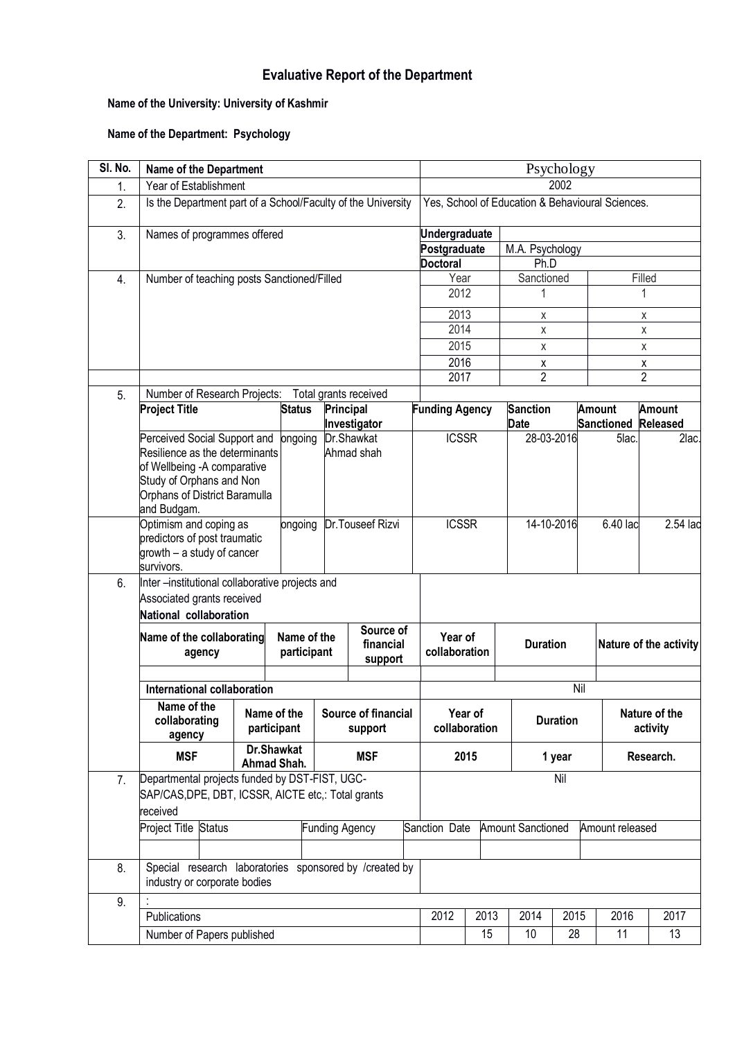## **Evaluative Report of the Department**

## **Name of the University: University of Kashmir**

## **Name of the Department: Psychology**

| SI. No. | <b>Name of the Department</b>                                                                                                                                             |                                                                                                 |                |                                   |                          |                          | Psychology      |                                                  |                                  |                           |                                      |                |  |  |
|---------|---------------------------------------------------------------------------------------------------------------------------------------------------------------------------|-------------------------------------------------------------------------------------------------|----------------|-----------------------------------|--------------------------|--------------------------|-----------------|--------------------------------------------------|----------------------------------|---------------------------|--------------------------------------|----------------|--|--|
| 1.      | Year of Establishment                                                                                                                                                     |                                                                                                 |                |                                   |                          |                          |                 | 2002                                             |                                  |                           |                                      |                |  |  |
| 2.      | Is the Department part of a School/Faculty of the University                                                                                                              |                                                                                                 |                |                                   |                          |                          |                 | Yes, School of Education & Behavioural Sciences. |                                  |                           |                                      |                |  |  |
| 3.      | Names of programmes offered                                                                                                                                               |                                                                                                 |                |                                   | <b>Undergraduate</b>     |                          |                 |                                                  |                                  |                           |                                      |                |  |  |
|         |                                                                                                                                                                           |                                                                                                 |                |                                   |                          |                          | Postgraduate    |                                                  | M.A. Psychology                  |                           |                                      |                |  |  |
|         |                                                                                                                                                                           |                                                                                                 |                |                                   |                          |                          | <b>Doctoral</b> |                                                  | Ph.D                             |                           |                                      |                |  |  |
| 4.      | Number of teaching posts Sanctioned/Filled                                                                                                                                |                                                                                                 |                |                                   |                          |                          | Year            |                                                  | Sanctioned                       |                           |                                      | Filled         |  |  |
|         |                                                                                                                                                                           |                                                                                                 |                |                                   |                          | 2012                     |                 |                                                  |                                  |                           | 1                                    |                |  |  |
|         |                                                                                                                                                                           |                                                                                                 |                |                                   |                          | 2013                     |                 | X                                                |                                  |                           | X                                    |                |  |  |
|         |                                                                                                                                                                           |                                                                                                 |                |                                   |                          | 2014                     |                 | X                                                |                                  |                           | X                                    |                |  |  |
|         |                                                                                                                                                                           |                                                                                                 |                |                                   |                          |                          | 2015            |                                                  | Χ                                |                           |                                      | Χ              |  |  |
|         |                                                                                                                                                                           |                                                                                                 |                |                                   |                          |                          | 2016            |                                                  | X                                |                           |                                      | X              |  |  |
|         |                                                                                                                                                                           |                                                                                                 |                |                                   |                          |                          | 2017            |                                                  | $\overline{2}$                   |                           |                                      | $\overline{2}$ |  |  |
| 5.      | Number of Research Projects:                                                                                                                                              |                                                                                                 |                |                                   | Total grants received    |                          |                 |                                                  |                                  |                           |                                      |                |  |  |
|         | <b>Project Title</b>                                                                                                                                                      | <b>Status</b>                                                                                   |                | <b>Principal</b><br>Investigator  |                          | <b>Funding Agency</b>    |                 | <b>Date</b>                                      | <b>Sanction</b><br><b>Amount</b> |                           | <b>Amount</b><br>Sanctioned Released |                |  |  |
|         | Perceived Social Support and<br>Resilience as the determinants<br>of Wellbeing -A comparative<br>Study of Orphans and Non<br>Orphans of District Baramulla<br>and Budgam. |                                                                                                 | ongoing        |                                   | Dr.Shawkat<br>Ahmad shah |                          | <b>ICSSR</b>    |                                                  | 28-03-2016                       |                           | 5lac.                                | 2lac.          |  |  |
|         | survivors.                                                                                                                                                                | Optimism and coping as<br>ongoing<br>predictors of post traumatic<br>growth - a study of cancer |                |                                   | Dr.Touseef Rizvi         |                          | <b>ICSSR</b>    |                                                  | 14-10-2016                       |                           | 6.40 lac                             | 2.54 lac       |  |  |
| 6.      | Inter-institutional collaborative projects and<br>Associated grants received<br>National collaboration                                                                    |                                                                                                 |                |                                   |                          |                          |                 |                                                  |                                  |                           |                                      |                |  |  |
|         | Name of the collaborating<br>agency                                                                                                                                       | Name of the<br>participant                                                                      |                | Source of<br>financial<br>support |                          | Year of<br>collaboration |                 |                                                  | <b>Duration</b>                  |                           | Nature of the activity               |                |  |  |
|         |                                                                                                                                                                           |                                                                                                 |                |                                   |                          |                          |                 |                                                  |                                  |                           |                                      |                |  |  |
|         | International collaboration                                                                                                                                               |                                                                                                 |                |                                   |                          |                          | Nil             |                                                  |                                  |                           |                                      |                |  |  |
|         | Name of the<br>collaborating<br>agency                                                                                                                                    | Source of financial<br>Name of the<br>participant<br>support                                    |                |                                   | Year of<br>collaboration |                          | <b>Duration</b> |                                                  |                                  | Nature of the<br>activity |                                      |                |  |  |
|         | Dr.Shawkat<br><b>MSF</b><br><b>MSF</b><br>Ahmad Shah.                                                                                                                     |                                                                                                 |                | 2015                              |                          | 1 year                   |                 |                                                  | Research.                        |                           |                                      |                |  |  |
| 7.      | Departmental projects funded by DST-FIST, UGC-<br>SAP/CAS, DPE, DBT, ICSSR, AICTE etc.: Total grants<br>received                                                          |                                                                                                 |                |                                   |                          |                          |                 |                                                  |                                  | Nil                       |                                      |                |  |  |
|         | Project Title Status                                                                                                                                                      |                                                                                                 | Funding Agency |                                   |                          | Sanction Date            |                 |                                                  | <b>Amount Sanctioned</b>         |                           | Amount released                      |                |  |  |
|         |                                                                                                                                                                           |                                                                                                 |                |                                   |                          |                          |                 |                                                  |                                  |                           |                                      |                |  |  |
| 8.      | Special research laboratories sponsored by /created by<br>industry or corporate bodies                                                                                    |                                                                                                 |                |                                   |                          |                          |                 |                                                  |                                  |                           |                                      |                |  |  |
| 9.      |                                                                                                                                                                           |                                                                                                 |                |                                   |                          |                          |                 |                                                  |                                  |                           |                                      |                |  |  |
|         | Publications                                                                                                                                                              |                                                                                                 |                |                                   |                          |                          |                 |                                                  | 2013<br>2014                     | 2015                      | 2016                                 | 2017           |  |  |
|         |                                                                                                                                                                           | Number of Papers published                                                                      |                |                                   |                          |                          |                 |                                                  | 15<br>10                         | 28                        | 11                                   | 13             |  |  |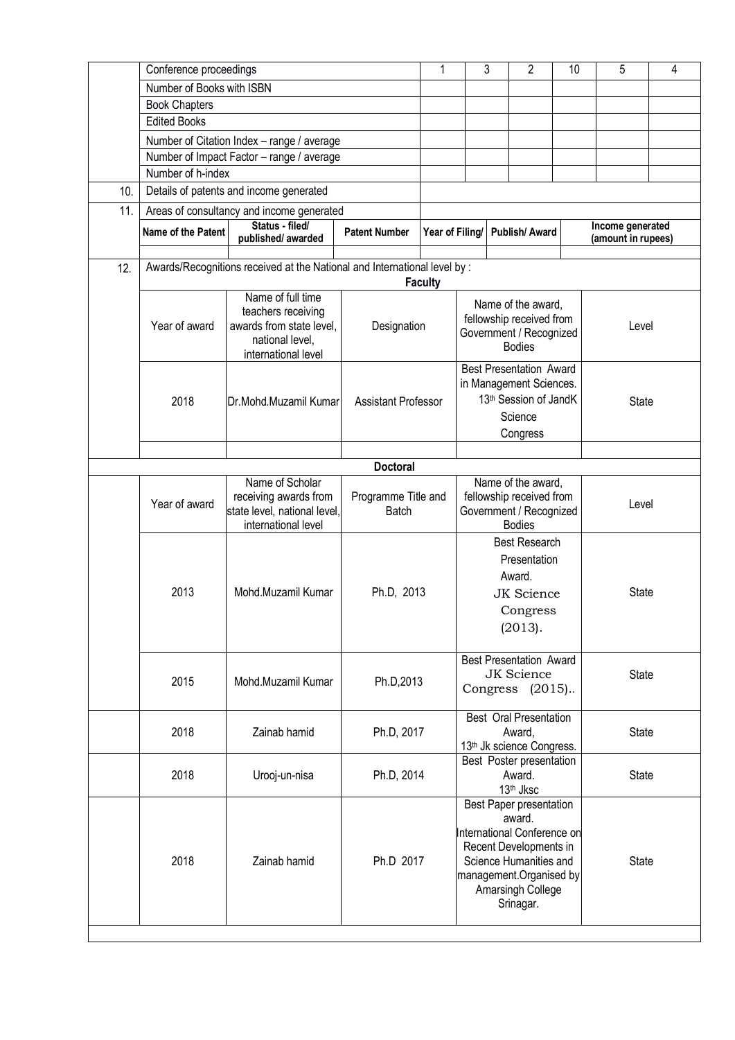|     | Conference proceedings    | 1                                                                         |                                     | 3                                                | 2                                            | 10                       | 5                                                         | 4            |                                        |          |  |
|-----|---------------------------|---------------------------------------------------------------------------|-------------------------------------|--------------------------------------------------|----------------------------------------------|--------------------------|-----------------------------------------------------------|--------------|----------------------------------------|----------|--|
|     | Number of Books with ISBN |                                                                           |                                     |                                                  |                                              |                          |                                                           |              |                                        |          |  |
|     | <b>Book Chapters</b>      |                                                                           |                                     |                                                  |                                              |                          |                                                           |              |                                        |          |  |
|     | <b>Edited Books</b>       |                                                                           |                                     |                                                  |                                              |                          |                                                           |              |                                        |          |  |
|     |                           | Number of Citation Index - range / average                                |                                     |                                                  |                                              |                          |                                                           |              |                                        |          |  |
|     |                           | Number of Impact Factor - range / average                                 |                                     |                                                  |                                              |                          |                                                           |              |                                        |          |  |
|     | Number of h-index         |                                                                           |                                     |                                                  |                                              |                          |                                                           |              |                                        |          |  |
|     |                           |                                                                           |                                     |                                                  |                                              |                          |                                                           |              |                                        |          |  |
| 10. |                           | Details of patents and income generated                                   |                                     |                                                  |                                              |                          |                                                           |              |                                        |          |  |
| 11. |                           | Areas of consultancy and income generated                                 |                                     |                                                  |                                              |                          |                                                           |              |                                        |          |  |
|     | Name of the Patent        | Status - filed/<br>published/awarded                                      | <b>Patent Number</b>                | Year of Filing/                                  |                                              |                          | Publish/Award                                             |              | Income generated<br>(amount in rupees) |          |  |
| 12. |                           | Awards/Recognitions received at the National and International level by : | <b>Faculty</b>                      |                                                  |                                              |                          |                                                           |              |                                        |          |  |
|     |                           | Name of full time                                                         |                                     |                                                  |                                              |                          |                                                           |              |                                        |          |  |
|     |                           | teachers receiving                                                        |                                     |                                                  |                                              |                          | Name of the award,                                        |              |                                        |          |  |
|     | Year of award             | awards from state level,                                                  | Designation                         |                                                  |                                              |                          | fellowship received from<br>Government / Recognized       |              | Level                                  |          |  |
|     |                           | national level,                                                           |                                     |                                                  |                                              |                          | <b>Bodies</b>                                             |              |                                        |          |  |
|     |                           | international level                                                       |                                     |                                                  |                                              |                          |                                                           |              |                                        |          |  |
|     |                           |                                                                           |                                     |                                                  |                                              |                          | <b>Best Presentation Award</b><br>in Management Sciences. |              |                                        |          |  |
|     |                           |                                                                           |                                     |                                                  |                                              |                          | 13th Session of JandK                                     |              |                                        |          |  |
|     | 2018                      | Dr.Mohd.Muzamil Kumar                                                     | <b>Assistant Professor</b>          |                                                  |                                              |                          | Science                                                   |              | <b>State</b>                           |          |  |
|     |                           |                                                                           |                                     |                                                  |                                              |                          |                                                           |              |                                        |          |  |
|     |                           |                                                                           |                                     |                                                  | Congress                                     |                          |                                                           |              |                                        |          |  |
|     |                           |                                                                           |                                     |                                                  |                                              |                          |                                                           |              |                                        |          |  |
|     |                           | Name of Scholar                                                           | <b>Doctoral</b>                     |                                                  |                                              |                          | Name of the award,                                        |              |                                        |          |  |
|     |                           | receiving awards from                                                     |                                     |                                                  |                                              | fellowship received from |                                                           |              |                                        |          |  |
|     | Year of award             | state level, national level,                                              | Programme Title and<br><b>Batch</b> |                                                  | Government / Recognized                      |                          |                                                           |              | Level                                  |          |  |
|     |                           | international level                                                       |                                     |                                                  |                                              |                          | <b>Bodies</b>                                             |              |                                        |          |  |
|     |                           |                                                                           |                                     |                                                  |                                              |                          | <b>Best Research</b>                                      |              |                                        |          |  |
|     |                           |                                                                           |                                     |                                                  | Presentation                                 |                          |                                                           |              |                                        |          |  |
|     |                           |                                                                           |                                     |                                                  |                                              |                          | Award.                                                    |              |                                        |          |  |
|     | 2013                      | Ph.D, 2013                                                                |                                     |                                                  |                                              | JK Science               | <b>State</b>                                              |              |                                        |          |  |
|     |                           | Mohd.Muzamil Kumar                                                        |                                     |                                                  |                                              |                          |                                                           |              |                                        | Congress |  |
|     |                           |                                                                           |                                     |                                                  | (2013).                                      |                          |                                                           |              |                                        |          |  |
|     |                           |                                                                           |                                     |                                                  |                                              |                          |                                                           |              |                                        |          |  |
|     |                           |                                                                           |                                     |                                                  |                                              |                          | <b>Best Presentation Award</b>                            |              |                                        |          |  |
|     | 2015                      | Mohd.Muzamil Kumar                                                        |                                     |                                                  | JK Science                                   |                          |                                                           |              | <b>State</b>                           |          |  |
|     |                           | Ph.D, 2013                                                                | Congress (2015).                    |                                                  |                                              |                          |                                                           |              |                                        |          |  |
|     |                           |                                                                           |                                     |                                                  |                                              |                          |                                                           |              |                                        |          |  |
|     |                           |                                                                           |                                     |                                                  |                                              | Best Oral Presentation   |                                                           | <b>State</b> |                                        |          |  |
|     |                           | 2018<br>Zainab hamid<br>Ph.D, 2017                                        |                                     |                                                  |                                              |                          | Award,<br>13 <sup>th</sup> Jk science Congress.           |              |                                        |          |  |
|     |                           |                                                                           |                                     |                                                  |                                              |                          | Best Poster presentation                                  |              |                                        |          |  |
|     | 2018                      | Ph.D, 2014                                                                |                                     |                                                  |                                              | Award.                   |                                                           | <b>State</b> |                                        |          |  |
|     |                           | Urooj-un-nisa                                                             |                                     |                                                  |                                              |                          | 13 <sup>th</sup> Jksc                                     |              |                                        |          |  |
|     |                           |                                                                           |                                     |                                                  |                                              |                          | Best Paper presentation                                   |              |                                        |          |  |
|     |                           |                                                                           |                                     |                                                  |                                              |                          | award.                                                    |              |                                        |          |  |
|     |                           |                                                                           |                                     | International Conference on                      |                                              |                          |                                                           |              |                                        |          |  |
|     | 2018                      | Ph.D 2017                                                                 |                                     | Recent Developments in<br>Science Humanities and |                                              |                          |                                                           | <b>State</b> |                                        |          |  |
|     |                           | Zainab hamid                                                              |                                     |                                                  |                                              |                          |                                                           |              |                                        |          |  |
|     |                           |                                                                           |                                     |                                                  | management.Organised by<br>Amarsingh College |                          |                                                           |              |                                        |          |  |
|     |                           |                                                                           |                                     |                                                  |                                              | Srinagar.                |                                                           |              |                                        |          |  |
|     |                           |                                                                           |                                     |                                                  |                                              |                          |                                                           |              |                                        |          |  |
|     |                           |                                                                           |                                     |                                                  |                                              |                          |                                                           |              |                                        |          |  |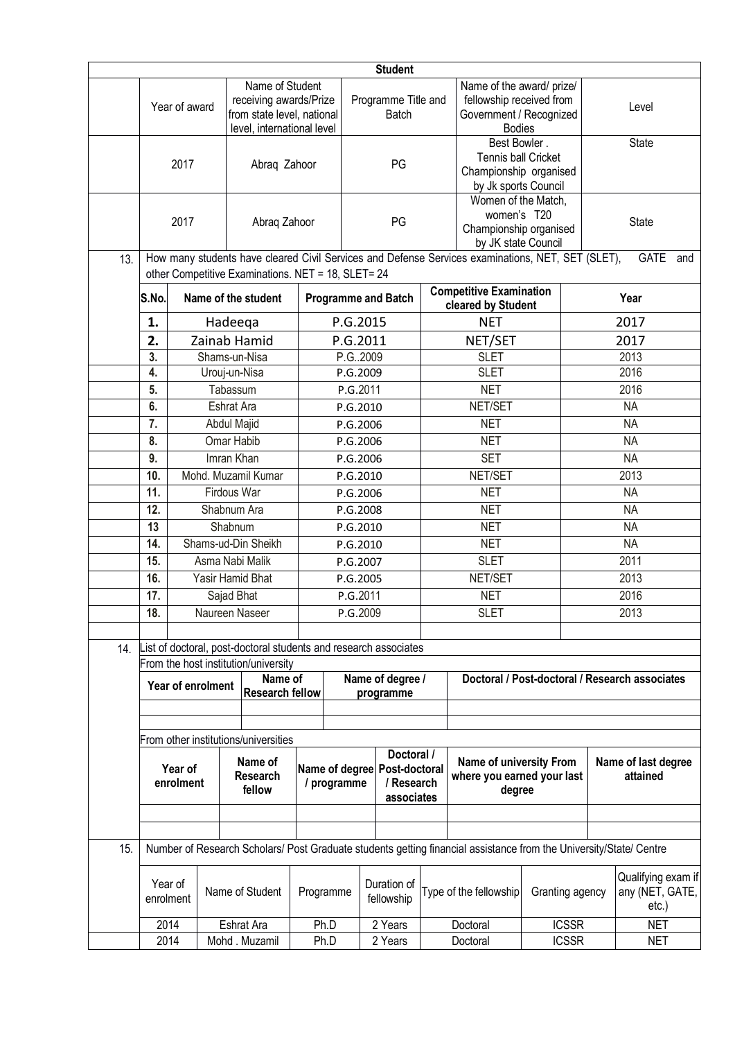| <b>Student</b> |                                                              |                                                                                                                        |      |                                                                                       |                                        |                                     |                                                                 |                                                                                     |                                                                                                                    |              |                                                   |                                                |  |
|----------------|--------------------------------------------------------------|------------------------------------------------------------------------------------------------------------------------|------|---------------------------------------------------------------------------------------|----------------------------------------|-------------------------------------|-----------------------------------------------------------------|-------------------------------------------------------------------------------------|--------------------------------------------------------------------------------------------------------------------|--------------|---------------------------------------------------|------------------------------------------------|--|
|                |                                                              | Name of Student<br>receiving awards/Prize<br>Year of award<br>from state level, national<br>level, international level |      |                                                                                       |                                        | Programme Title and<br><b>Batch</b> |                                                                 |                                                                                     | Name of the award/ prize/<br>fellowship received from<br>Government / Recognized<br><b>Bodies</b>                  |              | Level                                             |                                                |  |
|                |                                                              | 2017                                                                                                                   |      | Abraq Zahoor                                                                          |                                        |                                     | PG                                                              |                                                                                     | Best Bowler.<br><b>Tennis ball Cricket</b><br>Championship organised<br>by Jk sports Council                       |              | State                                             |                                                |  |
|                | 2017<br>Abraq Zahoor                                         |                                                                                                                        |      | PG                                                                                    |                                        |                                     |                                                                 | Women of the Match,<br>women's T20<br>Championship organised<br>by JK state Council |                                                                                                                    | <b>State</b> |                                                   |                                                |  |
| 13.            |                                                              |                                                                                                                        |      |                                                                                       |                                        |                                     |                                                                 |                                                                                     | How many students have cleared Civil Services and Defense Services examinations, NET, SET (SLET),                  |              |                                                   | GATE<br>and                                    |  |
|                | S.No.                                                        |                                                                                                                        |      | other Competitive Examinations. NET = 18, SLET= 24<br>Name of the student             |                                        |                                     | <b>Programme and Batch</b>                                      |                                                                                     | <b>Competitive Examination</b><br>cleared by Student                                                               |              |                                                   | Year                                           |  |
|                | 1.                                                           |                                                                                                                        |      | Hadeeqa                                                                               |                                        | P.G.2015                            |                                                                 |                                                                                     | <b>NET</b>                                                                                                         |              |                                                   | 2017                                           |  |
|                | 2.                                                           |                                                                                                                        |      | Zainab Hamid                                                                          |                                        | P.G.2011                            |                                                                 |                                                                                     | NET/SET                                                                                                            |              |                                                   | 2017                                           |  |
|                | 3.                                                           |                                                                                                                        |      | Shams-un-Nisa                                                                         |                                        | P.G. 2009                           |                                                                 |                                                                                     | <b>SLET</b>                                                                                                        |              |                                                   | 2013                                           |  |
|                | 4.                                                           |                                                                                                                        |      | Urouj-un-Nisa                                                                         |                                        | P.G.2009                            |                                                                 |                                                                                     | <b>SLET</b>                                                                                                        |              | 2016                                              |                                                |  |
|                | 5.                                                           |                                                                                                                        |      | Tabassum                                                                              |                                        | P.G.2011                            |                                                                 |                                                                                     | <b>NET</b>                                                                                                         |              |                                                   | 2016                                           |  |
|                | 6.                                                           |                                                                                                                        |      | Eshrat Ara                                                                            |                                        | P.G.2010                            |                                                                 |                                                                                     | NET/SET                                                                                                            |              |                                                   | <b>NA</b>                                      |  |
|                | 7.                                                           |                                                                                                                        |      | Abdul Majid                                                                           |                                        | P.G.2006                            |                                                                 |                                                                                     | <b>NET</b>                                                                                                         |              | <b>NA</b>                                         |                                                |  |
|                | 8.                                                           |                                                                                                                        |      | Omar Habib                                                                            |                                        | P.G.2006                            |                                                                 |                                                                                     | <b>NET</b>                                                                                                         |              | <b>NA</b>                                         |                                                |  |
|                | 9.                                                           |                                                                                                                        |      | Imran Khan                                                                            |                                        |                                     | P.G.2006                                                        |                                                                                     | <b>SET</b>                                                                                                         |              | <b>NA</b>                                         |                                                |  |
|                | 10.                                                          |                                                                                                                        |      | Mohd. Muzamil Kumar                                                                   |                                        | P.G.2010                            |                                                                 |                                                                                     | NET/SET                                                                                                            |              | 2013                                              |                                                |  |
|                | 11.                                                          |                                                                                                                        |      | Firdous War                                                                           |                                        |                                     | P.G.2006                                                        |                                                                                     | <b>NET</b>                                                                                                         |              | <b>NA</b>                                         |                                                |  |
|                | 12.                                                          |                                                                                                                        |      | Shabnum Ara                                                                           |                                        | P.G.2008                            |                                                                 |                                                                                     | <b>NET</b>                                                                                                         |              |                                                   | <b>NA</b>                                      |  |
|                | 13                                                           |                                                                                                                        |      | Shabnum                                                                               |                                        | P.G.2010                            |                                                                 |                                                                                     | <b>NET</b>                                                                                                         |              |                                                   | <b>NA</b>                                      |  |
|                | 14.                                                          | Shams-ud-Din Sheikh                                                                                                    |      | P.G.2010                                                                              |                                        |                                     |                                                                 | <b>NET</b>                                                                          |                                                                                                                    |              | <b>NA</b>                                         |                                                |  |
|                |                                                              | 15.<br>Asma Nabi Malik                                                                                                 |      | P.G.2007                                                                              |                                        |                                     |                                                                 | <b>SLET</b>                                                                         |                                                                                                                    |              | 2011                                              |                                                |  |
|                |                                                              | 16.<br>Yasir Hamid Bhat                                                                                                |      | P.G.2005<br>P.G.2011                                                                  |                                        |                                     |                                                                 | NET/SET<br><b>NET</b>                                                               |                                                                                                                    |              | $\overline{2013}$                                 |                                                |  |
|                | 18.                                                          | 17.<br>Sajad Bhat<br>Naureen Naseer                                                                                    |      | P.G.2009                                                                              |                                        |                                     |                                                                 | <b>SLET</b>                                                                         |                                                                                                                    |              | 2016<br>2013                                      |                                                |  |
|                |                                                              |                                                                                                                        |      |                                                                                       |                                        |                                     |                                                                 |                                                                                     |                                                                                                                    |              |                                                   |                                                |  |
| 14.            |                                                              |                                                                                                                        |      | List of doctoral, post-doctoral students and research associates                      |                                        |                                     |                                                                 |                                                                                     |                                                                                                                    |              |                                                   |                                                |  |
|                |                                                              |                                                                                                                        |      | From the host institution/university                                                  |                                        |                                     |                                                                 |                                                                                     |                                                                                                                    |              |                                                   | Doctoral / Post-doctoral / Research associates |  |
|                |                                                              | Name of<br>Year of enrolment<br><b>Research fellow</b>                                                                 |      |                                                                                       |                                        | Name of degree /<br>programme       |                                                                 |                                                                                     |                                                                                                                    |              |                                                   |                                                |  |
|                |                                                              |                                                                                                                        |      |                                                                                       |                                        |                                     |                                                                 |                                                                                     |                                                                                                                    |              |                                                   |                                                |  |
|                |                                                              |                                                                                                                        |      |                                                                                       |                                        |                                     |                                                                 |                                                                                     |                                                                                                                    |              |                                                   |                                                |  |
|                | From other institutions/universities                         |                                                                                                                        |      |                                                                                       |                                        |                                     |                                                                 |                                                                                     |                                                                                                                    |              |                                                   |                                                |  |
|                | Name of<br>Year of<br><b>Research</b><br>enrolment<br>fellow |                                                                                                                        |      | Doctoral /<br>Name of degree Post-doctoral<br>/ programme<br>/ Research<br>associates |                                        |                                     | Name of university From<br>where you earned your last<br>degree |                                                                                     | Name of last degree<br>attained                                                                                    |              |                                                   |                                                |  |
|                |                                                              |                                                                                                                        |      |                                                                                       |                                        |                                     |                                                                 |                                                                                     |                                                                                                                    |              |                                                   |                                                |  |
|                |                                                              |                                                                                                                        |      |                                                                                       |                                        |                                     |                                                                 |                                                                                     |                                                                                                                    |              |                                                   |                                                |  |
| 15.            |                                                              |                                                                                                                        |      |                                                                                       |                                        |                                     |                                                                 |                                                                                     | Number of Research Scholars/ Post Graduate students getting financial assistance from the University/State/ Centre |              |                                                   |                                                |  |
|                | Year of<br>Name of Student<br>enrolment                      |                                                                                                                        |      |                                                                                       | Duration of<br>Programme<br>fellowship |                                     |                                                                 | Type of the fellowship                                                              | Granting agency                                                                                                    |              | Qualifying exam if<br>any (NET, GATE,<br>$etc.$ ) |                                                |  |
|                |                                                              | 2014                                                                                                                   |      | Eshrat Ara                                                                            | Ph.D                                   |                                     | 2 Years                                                         |                                                                                     | Doctoral                                                                                                           | <b>ICSSR</b> |                                                   | <b>NET</b>                                     |  |
|                | 2014<br>Mohd . Muzamil                                       |                                                                                                                        | Ph.D |                                                                                       | 2 Years                                |                                     | Doctoral                                                        | <b>ICSSR</b>                                                                        |                                                                                                                    | <b>NET</b>   |                                                   |                                                |  |